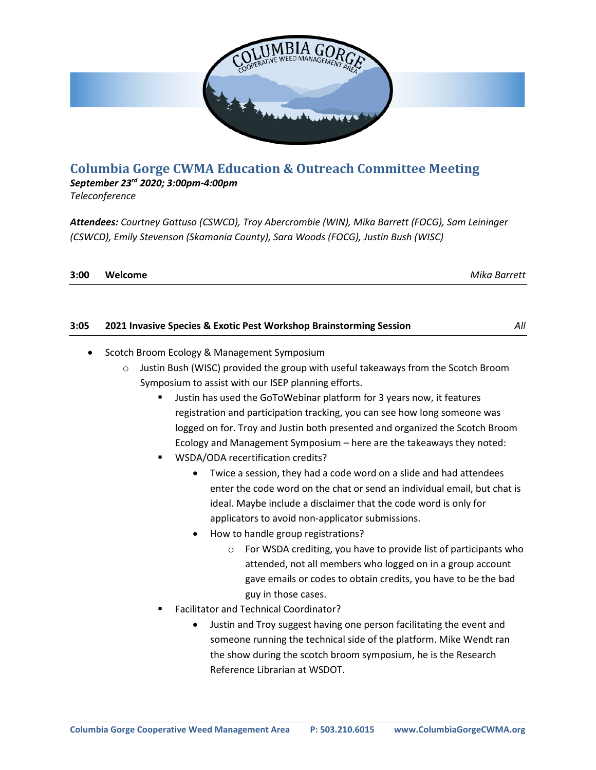

## **Columbia Gorge CWMA Education & Outreach Committee Meeting**

*September 23rd 2020; 3:00pm-4:00pm*

*Teleconference*

*Attendees: Courtney Gattuso (CSWCD), Troy Abercrombie (WIN), Mika Barrett (FOCG), Sam Leininger (CSWCD), Emily Stevenson (Skamania County), Sara Woods (FOCG), Justin Bush (WISC)*

| 3:00 | Welcome | Mika Barrett |
|------|---------|--------------|
|      |         |              |

| 3:05 | 2021 Invasive Species & Exotic Pest Workshop Brainstorming Session | All |
|------|--------------------------------------------------------------------|-----|
|      |                                                                    |     |

- Scotch Broom Ecology & Management Symposium
	- o Justin Bush (WISC) provided the group with useful takeaways from the Scotch Broom Symposium to assist with our ISEP planning efforts.
		- Justin has used the GoToWebinar platform for 3 years now, it features registration and participation tracking, you can see how long someone was logged on for. Troy and Justin both presented and organized the Scotch Broom Ecology and Management Symposium – here are the takeaways they noted:
		- WSDA/ODA recertification credits?
			- Twice a session, they had a code word on a slide and had attendees enter the code word on the chat or send an individual email, but chat is ideal. Maybe include a disclaimer that the code word is only for applicators to avoid non-applicator submissions.
			- How to handle group registrations?
				- $\circ$  For WSDA crediting, you have to provide list of participants who attended, not all members who logged on in a group account gave emails or codes to obtain credits, you have to be the bad guy in those cases.
		- Facilitator and Technical Coordinator?
			- Justin and Troy suggest having one person facilitating the event and someone running the technical side of the platform. Mike Wendt ran the show during the scotch broom symposium, he is the Research Reference Librarian at WSDOT.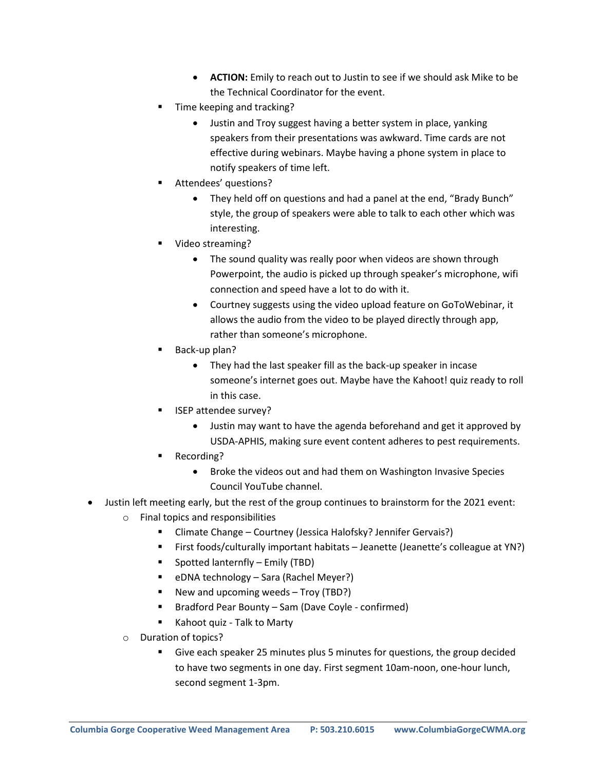- **ACTION:** Emily to reach out to Justin to see if we should ask Mike to be the Technical Coordinator for the event.
- Time keeping and tracking?
	- Justin and Troy suggest having a better system in place, yanking speakers from their presentations was awkward. Time cards are not effective during webinars. Maybe having a phone system in place to notify speakers of time left.
- Attendees' questions?
	- They held off on questions and had a panel at the end, "Brady Bunch" style, the group of speakers were able to talk to each other which was interesting.
- Video streaming?
	- The sound quality was really poor when videos are shown through Powerpoint, the audio is picked up through speaker's microphone, wifi connection and speed have a lot to do with it.
	- Courtney suggests using the video upload feature on GoToWebinar, it allows the audio from the video to be played directly through app, rather than someone's microphone.
- Back-up plan?
	- They had the last speaker fill as the back-up speaker in incase someone's internet goes out. Maybe have the Kahoot! quiz ready to roll in this case.
- ISEP attendee survey?
	- Justin may want to have the agenda beforehand and get it approved by USDA-APHIS, making sure event content adheres to pest requirements.
- Recording?
	- Broke the videos out and had them on Washington Invasive Species Council YouTube channel.
- Justin left meeting early, but the rest of the group continues to brainstorm for the 2021 event:
	- o Final topics and responsibilities
		- Climate Change Courtney (Jessica Halofsky? Jennifer Gervais?)
		- First foods/culturally important habitats Jeanette (Jeanette's colleague at YN?)
		- Spotted lanternfly Emily (TBD)
		- eDNA technology Sara (Rachel Meyer?)
		- New and upcoming weeds Troy (TBD?)
		- Bradford Pear Bounty Sam (Dave Coyle confirmed)
		- Kahoot quiz Talk to Marty
	- o Duration of topics?
		- Give each speaker 25 minutes plus 5 minutes for questions, the group decided to have two segments in one day. First segment 10am-noon, one-hour lunch, second segment 1-3pm.